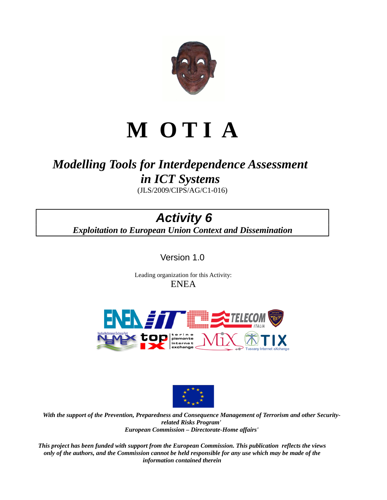

# **M O T I A**

# *Modelling Tools for Interdependence Assessment in ICT Systems*

(JLS/2009/CIPS/AG/C1-016)

# *Activity 6*

*Exploitation to European Union Context and Dissemination*

Version 1.0

 Leading organization for this Activity: ENEA





*With the support of the Prevention, Preparedness and Consequence Management of Terrorism and other Securityrelated Risks Program' European Commission – Directorate-Home affairs'*

*This project has been funded with support from the European Commission. This publication reflects the views only of the authors, and the Commission cannot be held responsible for any use which may be made of the information contained therein*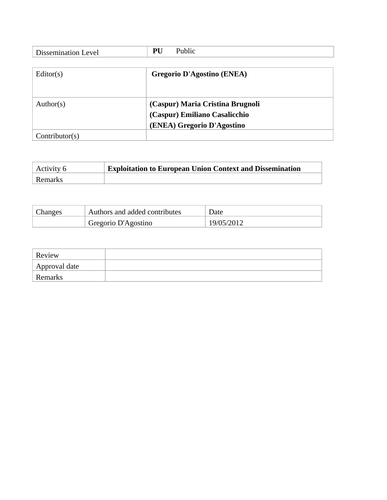| <b>Dissemination Level</b> | Public<br>PU                      |
|----------------------------|-----------------------------------|
|                            |                                   |
| Editor(s)                  | <b>Gregorio D'Agostino (ENEA)</b> |
|                            |                                   |
|                            |                                   |
| Author( $s$ )              | (Caspur) Maria Cristina Brugnoli  |
|                            | (Caspur) Emiliano Casalicchio     |
|                            | (ENEA) Gregorio D'Agostino        |
| Contribution(s)            |                                   |

| Activity 6 | $\pm$ Exploitation to European Union Context and Dissemination |
|------------|----------------------------------------------------------------|
| Remarks    |                                                                |

| Changes | Authors and added contributes | Date       |
|---------|-------------------------------|------------|
|         | Gregorio D'Agostino           | 19/05/2012 |

| Review        |  |
|---------------|--|
| Approval date |  |
| Remarks       |  |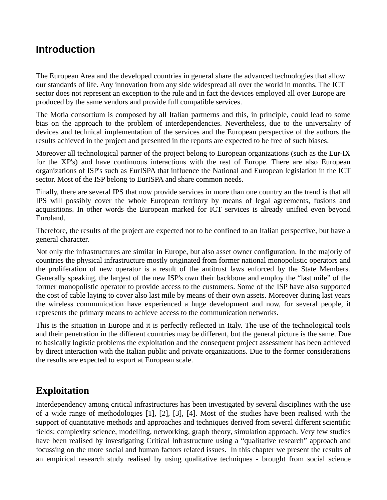# **Introduction**

The European Area and the developed countries in general share the advanced technologies that allow our standards of life. Any innovation from any side widespread all over the world in months. The ICT sector does not represent an exception to the rule and in fact the devices employed all over Europe are produced by the same vendors and provide full compatible services.

The Motia consortium is composed by all Italian partnerns and this, in principle, could lead to some bias on the approach to the problem of interdependencies. Nevertheless, due to the universality of devices and technical implementation of the services and the European perspective of the authors the results achieved in the project and presented in the reports are expected to be free of such biases.

Moreover all technological partner of the project belong to European organizations (such as the Eur-IX for the XP's) and have continuous interactions with the rest of Europe. There are also European organizations of ISP's such as EurISPA that influence the National and European legislation in the ICT sector. Most of the ISP belong to EurISPA and share common needs.

Finally, there are several IPS that now provide services in more than one country an the trend is that all IPS will possibly cover the whole European territory by means of legal agreements, fusions and acquisitions. In other words the European marked for ICT services is already unified even beyond Euroland.

Therefore, the results of the project are expected not to be confined to an Italian perspective, but have a general character.

Not only the infrastructures are similar in Europe, but also asset owner configuration. In the majoriy of countries the physical infrastructure mostly originated from former national monopolistic operators and the proliferation of new operator is a result of the antitrust laws enforced by the State Members. Generally speaking, the largest of the new ISP's own their backbone and employ the "last mile" of the former monopolistic operator to provide access to the customers. Some of the ISP have also supported the cost of cable laying to cover also last mile by means of their own assets. Moreover during last years the wireless communication have experienced a huge development and now, for several people, it represents the primary means to achieve access to the communication networks.

This is the situation in Europe and it is perfectly reflected in Italy. The use of the technological tools and their penetration in the different countries may be different, but the general picture is the same. Due to basically logistic problems the exploitation and the consequent project assessment has been achieved by direct interaction with the Italian public and private organizations. Due to the former considerations the results are expected to export at European scale.

# **Exploitation**

Interdependency among critical infrastructures has been investigated by several disciplines with the use of a wide range of methodologies [\[1\],](#page-17-0) [\[2\],](#page-17-3) [\[3\],](#page-17-2) [\[4\].](#page-17-1) Most of the studies have been realised with the support of quantitative methods and approaches and techniques derived from several different scientific fields: complexity science, modelling, networking, graph theory, simulation approach. Very few studies have been realised by investigating Critical Infrastructure using a "qualitative research" approach and focussing on the more social and human factors related issues. In this chapter we present the results of an empirical research study realised by using qualitative techniques - brought from social science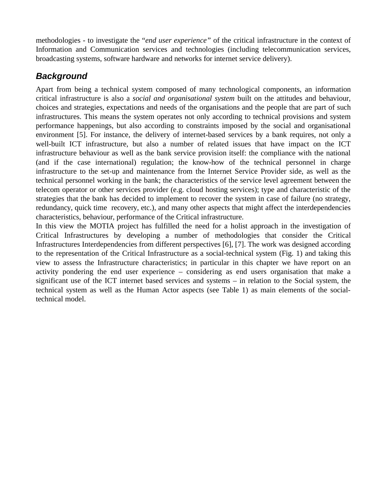methodologies - to investigate the "*end user experience"* of the critical infrastructure in the context of Information and Communication services and technologies (including telecommunication services, broadcasting systems, software hardware and networks for internet service delivery).

# *Background*

Apart from being a technical system composed of many technological components, an information critical infrastructure is also a *social and organisational system* built on the attitudes and behaviour, choices and strategies, expectations and needs of the organisations and the people that are part of such infrastructures. This means the system operates not only according to technical provisions and system performance happenings, but also according to constraints imposed by the social and organisational environment [\[5\].](#page-17-6) For instance, the delivery of internet-based services by a bank requires, not only a well-built ICT infrastructure, but also a number of related issues that have impact on the ICT infrastructure behaviour as well as the bank service provision itself: the compliance with the national (and if the case international) regulation; the know-how of the technical personnel in charge infrastructure to the set-up and maintenance from the Internet Service Provider side, as well as the technical personnel working in the bank; the characteristics of the service level agreement between the telecom operator or other services provider (e.g. cloud hosting services); type and characteristic of the strategies that the bank has decided to implement to recover the system in case of failure (no strategy, redundancy, quick time recovery, etc.), and many other aspects that might affect the interdependencies characteristics, behaviour, performance of the Critical infrastructure.

In this view the MOTIA project has fulfilled the need for a holist approach in the investigation of Critical Infrastructures by developing a number of methodologies that consider the Critical Infrastructures Interdependencies from different perspectives [\[6\],](#page-17-5) [\[7\].](#page-17-4) The work was designed according to the representation of the Critical Infrastructure as a social-technical system [\(Fig. 1\)](#page-4-0) and taking this view to assess the Infrastructure characteristics; in particular in this chapter we have report on an activity pondering the end user experience – considering as end users organisation that make a significant use of the ICT internet based services and systems – in relation to the Social system, the technical system as well as the Human Actor aspects (see [Table 1\)](#page-6-0) as main elements of the socialtechnical model.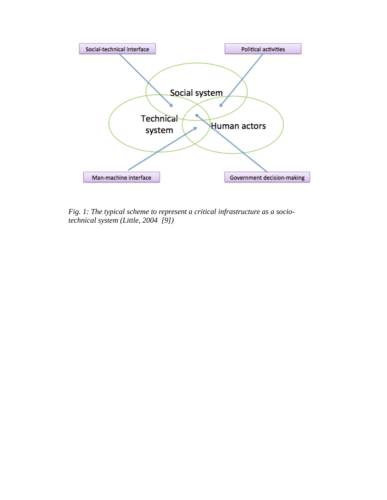

<span id="page-4-0"></span>*Fig. 1: The typical scheme to represent a critical infrastructure as a sociotechnical system (Little, 2004 [\[9\]\)](#page-17-7)*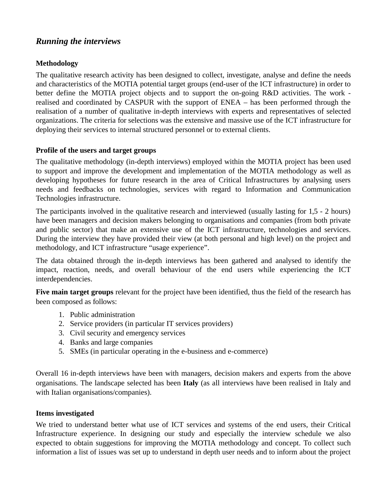## *Running the interviews*

#### **Methodology**

The qualitative research activity has been designed to collect, investigate, analyse and define the needs and characteristics of the MOTIA potential target groups (end-user of the ICT infrastructure) in order to better define the MOTIA project objects and to support the on-going R&D activities. The work realised and coordinated by CASPUR with the support of ENEA – has been performed through the realisation of a number of qualitative in-depth interviews with experts and representatives of selected organizations. The criteria for selections was the extensive and massive use of the ICT infrastructure for deploying their services to internal structured personnel or to external clients.

#### **Profile of the users and target groups**

The qualitative methodology (in-depth interviews) employed within the MOTIA project has been used to support and improve the development and implementation of the MOTIA methodology as well as developing hypotheses for future research in the area of Critical Infrastructures by analysing users needs and feedbacks on technologies, services with regard to Information and Communication Technologies infrastructure.

The participants involved in the qualitative research and interviewed (usually lasting for 1,5 - 2 hours) have been managers and decision makers belonging to organisations and companies (from both private and public sector) that make an extensive use of the ICT infrastructure, technologies and services. During the interview they have provided their view (at both personal and high level) on the project and methodology, and ICT infrastructure "usage experience".

The data obtained through the in-depth interviews has been gathered and analysed to identify the impact, reaction, needs, and overall behaviour of the end users while experiencing the ICT interdependencies.

**Five main target groups** relevant for the project have been identified, thus the field of the research has been composed as follows:

- 1. Public administration
- 2. Service providers (in particular IT services providers)
- 3. Civil security and emergency services
- 4. Banks and large companies
- 5. SMEs (in particular operating in the e-business and e-commerce)

Overall 16 in-depth interviews have been with managers, decision makers and experts from the above organisations. The landscape selected has been **Italy** (as all interviews have been realised in Italy and with Italian organisations/companies).

#### **Items investigated**

We tried to understand better what use of ICT services and systems of the end users, their Critical Infrastructure experience. In designing our study and especially the interview schedule we also expected to obtain suggestions for improving the MOTIA methodology and concept. To collect such information a list of issues was set up to understand in depth user needs and to inform about the project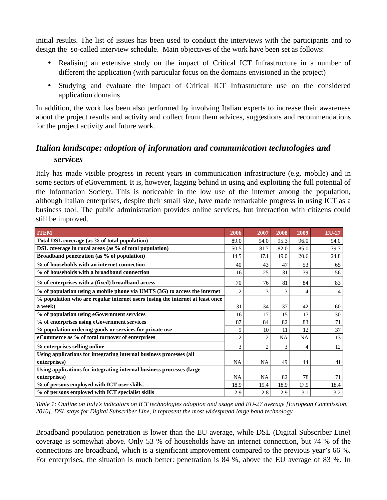initial results. The list of issues has been used to conduct the interviews with the participants and to design the so-called interview schedule. Main objectives of the work have been set as follows:

- Realising an extensive study on the impact of Critical ICT Infrastructure in a number of different the application (with particular focus on the domains envisioned in the project)
- Studying and evaluate the impact of Critical ICT Infrastructure use on the considered application domains

In addition, the work has been also performed by involving Italian experts to increase their awareness about the project results and activity and collect from them advices, suggestions and recommendations for the project activity and future work.

# *Italian landscape: adoption of information and communication technologies and services*

Italy has made visible progress in recent years in communication infrastructure (e.g. mobile) and in some sectors of eGovernment. It is, however, lagging behind in using and exploiting the full potential of the Information Society. This is noticeable in the low use of the internet among the population, although Italian enterprises, despite their small size, have made remarkable progress in using ICT as a business tool. The public administration provides online services, but interaction with citizens could still be improved.

| <b>ITEM</b>                                                                   | 2006           | 2007           | 2008 | 2009      | <b>EU-27</b> |
|-------------------------------------------------------------------------------|----------------|----------------|------|-----------|--------------|
| Total DSL coverage (as % of total population)                                 | 89.0           | 94.0           | 95.3 | 96.0      | 94.0         |
| DSL coverage in rural areas (as % of total population)                        | 50.5           | 81.7           | 82.0 | 85.0      | 79.7         |
| Broadband penetration (as % of population)                                    | 14.5           | 17.1           | 19.0 | 20.6      | 24.8         |
| % of households with an internet connection                                   | 40             | 43             | 47   | 53        | 65           |
| % of households with a broadband connection                                   | 16             | 25             | 31   | 39        | 56           |
| % of enterprises with a (fixed) broadband access                              | 70             | 76             | 81   | 84        | 83           |
| % of population using a mobile phone via UMTS (3G) to access the internet     | $\overline{c}$ | 3              | 3    | 4         | 4            |
| % population who are regular internet users (using the internet at least once |                |                |      |           |              |
| a week)                                                                       | 31             | 34             | 37   | 42        | 60           |
| % of population using eGovernment services                                    | 16             | 17             | 15   | 17        | 30           |
| % of enterprises using eGovernment services                                   | 87             | 84             | 82   | 83        | 71           |
| % population ordering goods or services for private use                       | 9              | 10             | 11   | 12        | 37           |
| eCommerce as % of total turnover of enterprises                               | $\overline{2}$ | $\overline{2}$ | NA   | <b>NA</b> | 13           |
| % enterprises selling online                                                  | 3              | $\overline{2}$ | 3    | 4         | 12           |
| Using applications for integrating internal business processes (all           |                |                |      |           |              |
| enterprises)                                                                  | <b>NA</b>      | <b>NA</b>      | 49   | 44        | 41           |
| Using applications for integrating internal business processes (large         |                |                |      |           |              |
| enterprises)                                                                  | <b>NA</b>      | NA             | 82   | 78        | 71           |
| % of persons employed with ICT user skills.                                   | 18.9           | 19.4           | 18.9 | 17.9      | 18.4         |
| % of persons employed with ICT specialist skills                              | 2.9            | 2.8            | 2.9  | 3.1       | 3.2          |

<span id="page-6-0"></span>*Table 1: Outline on Italy's indicators on ICT technologies adoption and usage and EU-27 average [European Commission, 2010]. DSL stays for Digital Subscriber Line, it represent the most widespread large band technology.*

Broadband population penetration is lower than the EU average, while DSL (Digital Subscriber Line) coverage is somewhat above. Only 53 % of households have an internet connection, but 74 % of the connections are broadband, which is a significant improvement compared to the previous year's 66 %. For enterprises, the situation is much better: penetration is 84 %, above the EU average of 83 %. In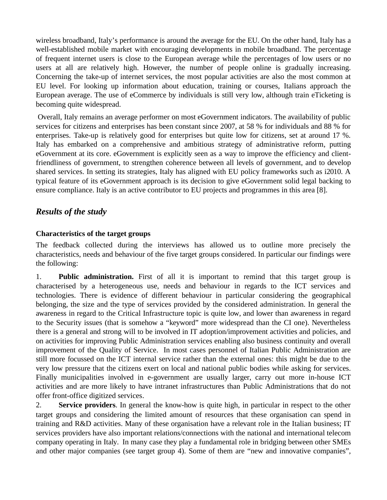wireless broadband, Italy's performance is around the average for the EU. On the other hand, Italy has a well-established mobile market with encouraging developments in mobile broadband. The percentage of frequent internet users is close to the European average while the percentages of low users or no users at all are relatively high. However, the number of people online is gradually increasing. Concerning the take-up of internet services, the most popular activities are also the most common at EU level. For looking up information about education, training or courses, Italians approach the European average. The use of eCommerce by individuals is still very low, although train eTicketing is becoming quite widespread.

Overall, Italy remains an average performer on most eGovernment indicators. The availability of public services for citizens and enterprises has been constant since 2007, at 58 % for individuals and 88 % for enterprises. Take-up is relatively good for enterprises but quite low for citizens, set at around 17 %. Italy has embarked on a comprehensive and ambitious strategy of administrative reform, putting eGovernment at its core. eGovernment is explicitly seen as a way to improve the efficiency and clientfriendliness of government, to strengthen coherence between all levels of government, and to develop shared services. In setting its strategies, Italy has aligned with EU policy frameworks such as i2010. A typical feature of its eGovernment approach is its decision to give eGovernment solid legal backing to ensure compliance. Italy is an active contributor to EU projects and programmes in this area [\[8\].](#page-17-8)

#### *Results of the study*

#### **Characteristics of the target groups**

The feedback collected during the interviews has allowed us to outline more precisely the characteristics, needs and behaviour of the five target groups considered. In particular our findings were the following:

1. **Public administration.** First of all it is important to remind that this target group is characterised by a heterogeneous use, needs and behaviour in regards to the ICT services and technologies. There is evidence of different behaviour in particular considering the geographical belonging, the size and the type of services provided by the considered administration. In general the awareness in regard to the Critical Infrastructure topic is quite low, and lower than awareness in regard to the Security issues (that is somehow a "keyword" more widespread than the CI one). Nevertheless there is a general and strong will to be involved in IT adoption/improvement activities and policies, and on activities for improving Public Administration services enabling also business continuity and overall improvement of the Quality of Service. In most cases personnel of Italian Public Administration are still more focussed on the ICT internal service rather than the external ones: this might be due to the very low pressure that the citizens exert on local and national public bodies while asking for services. Finally municipalities involved in e-government are usually larger, carry out more in-house ICT activities and are more likely to have intranet infrastructures than Public Administrations that do not offer front-office digitized services.

2. **Service providers**. In general the know-how is quite high, in particular in respect to the other target groups and considering the limited amount of resources that these organisation can spend in training and R&D activities. Many of these organisation have a relevant role in the Italian business; IT services providers have also important relations/connections with the national and international telecom company operating in Italy. In many case they play a fundamental role in bridging between other SMEs and other major companies (see target group 4). Some of them are "new and innovative companies",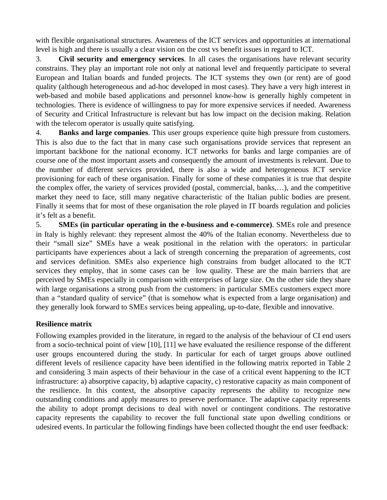with flexible organisational structures. Awareness of the ICT services and opportunities at international level is high and there is usually a clear vision on the cost vs benefit issues in regard to ICT.

3. **Civil security and emergency services**. In all cases the organisations have relevant security constrains. They play an important role not only at national level and frequently participate to several European and Italian boards and funded projects. The ICT systems they own (or rent) are of good quality (although heterogeneous and ad-hoc developed in most cases). They have a very high interest in web-based and mobile based applications and personnel know-how is generally highly competent in technologies. There is evidence of willingness to pay for more expensive services if needed. Awareness of Security and Critical Infrastructure is relevant but has low impact on the decision making. Relation with the telecom operator is usually quite satisfying.

4. **Banks and large companies**. This user groups experience quite high pressure from customers. This is also due to the fact that in many case such organisations provide services that represent an important backbone for the national economy. ICT networks for banks and large companies are of course one of the most important assets and consequently the amount of investments is relevant. Due to the number of different services provided, there is also a wide and heterogeneous ICT service provisioning for each of these organisation. Finally for some of these companies it is true that despite the complex offer, the variety of services provided (postal, commercial, banks,…), and the competitive market they need to face, still many negative characteristic of the Italian public bodies are present. Finally it seems that for most of these organisation the role played in IT boards regulation and policies it's felt as a benefit.

5. **SMEs (in particular operating in the e-business and e-commerce)**. SMEs role and presence in Italy is highly relevant: they represent almost the 40% of the Italian economy. Nevertheless due to their "small size" SMEs have a weak positional in the relation with the operators: in particular participants have experiences about a lack of strength concerning the preparation of agreements, cost and services definition. SMEs also experience high constrains from budget allocated to the ICT services they employ, that in some cases can be low quality. These are the main barriers that are perceived by SMEs especially in comparison with enterprises of large size. On the other side they share with large organisations a strong push from the customers: in particular SMEs customers expect more than a "standard quality of service" (that is somehow what is expected from a large organisation) and they generally look forward to SMEs services being appealing, up-to-date, flexible and innovative.

#### **Resilience matrix**

Following examples provided in the literature, in regard to the analysis of the behaviour of CI end users from a socio-technical point of view [\[10\],](#page-17-10) [\[11\]](#page-17-9) we have evaluated the resilience response of the different user groups encountered during the study. In particular for each of target groups above outlined different levels of resilience capacity have been identified in the following matrix reported in [Table 2](#page-9-0) and considering 3 main aspects of their behaviour in the case of a critical event happening to the ICT infrastructure: a) absorptive capacity, b) adaptive capacity, c) restorative capacity as main component of the resilience. In this context, the absorptive capacity represents the ability to recognize new outstanding conditions and apply measures to preserve performance. The adaptive capacity represents the ability to adopt prompt decisions to deal with novel or contingent conditions. The restorative capacity represents the capability to recover the full functional state upon dwelling conditions or udesired events. In particular the following findings have been collected thought the end user feedback: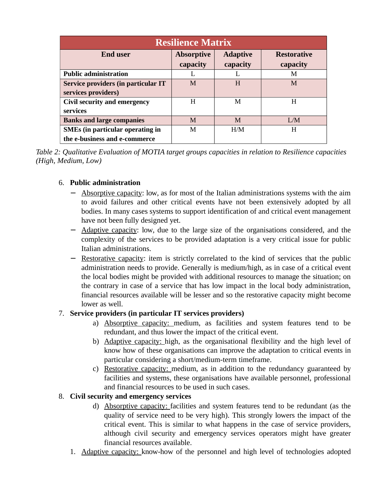| <b>Resilience Matrix</b>                                                 |                               |                             |                                |  |  |
|--------------------------------------------------------------------------|-------------------------------|-----------------------------|--------------------------------|--|--|
| <b>End user</b>                                                          | <b>Absorptive</b><br>capacity | <b>Adaptive</b><br>capacity | <b>Restorative</b><br>capacity |  |  |
| <b>Public administration</b>                                             |                               |                             | M                              |  |  |
| Service providers (in particular IT<br>services providers)               | M                             | H                           | M                              |  |  |
| Civil security and emergency<br>services                                 | H                             | M                           | H                              |  |  |
| <b>Banks and large companies</b>                                         | M                             | M                           | I/M                            |  |  |
| <b>SMEs (in particular operating in</b><br>the e-business and e-commerce | M                             | H/M                         | Н                              |  |  |

<span id="page-9-0"></span>*Table 2: Qualitative Evaluation of MOTIA target groups capacities in relation to Resilience capacities (High, Medium, Low)*

#### 6. **Public administration**

- Absorptive capacity: low, as for most of the Italian administrations systems with the aim to avoid failures and other critical events have not been extensively adopted by all bodies. In many cases systems to support identification of and critical event management have not been fully designed yet.
- − Adaptive capacity: low, due to the large size of the organisations considered, and the complexity of the services to be provided adaptation is a very critical issue for public Italian administrations.
- − Restorative capacity: item is strictly correlated to the kind of services that the public administration needs to provide. Generally is medium/high, as in case of a critical event the local bodies might be provided with additional resources to manage the situation; on the contrary in case of a service that has low impact in the local body administration, financial resources available will be lesser and so the restorative capacity might become lower as well.

#### 7. **Service providers (in particular IT services providers)**

- a) Absorptive capacity: medium, as facilities and system features tend to be redundant, and thus lower the impact of the critical event.
- b) Adaptive capacity: high, as the organisational flexibility and the high level of know how of these organisations can improve the adaptation to critical events in particular considering a short/medium-term timeframe.
- c) Restorative capacity: medium, as in addition to the redundancy guaranteed by facilities and systems, these organisations have available personnel, professional and financial resources to be used in such cases.

#### 8. **Civil security and emergency services**

- d) Absorptive capacity: facilities and system features tend to be redundant (as the quality of service need to be very high). This strongly lowers the impact of the critical event. This is similar to what happens in the case of service providers, although civil security and emergency services operators might have greater financial resources available.
- 1. Adaptive capacity: know-how of the personnel and high level of technologies adopted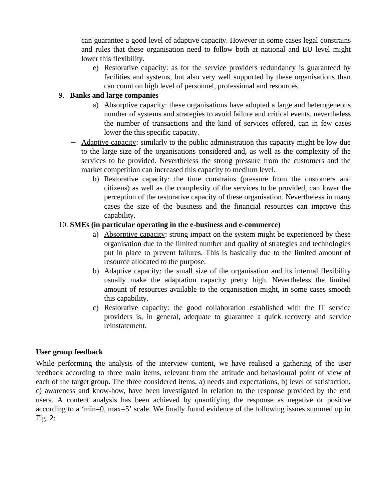can guarantee a good level of adaptive capacity. However in some cases legal constrains and rules that these organisation need to follow both at national and EU level might lower this flexibility.

e) Restorative capacity: as for the service providers redundancy is guaranteed by facilities and systems, but also very well supported by these organisations than can count on high level of personnel, professional and resources.

#### 9. **Banks and large companies**

- a) Absorptive capacity: these organisations have adopted a large and heterogeneous number of systems and strategies to avoid failure and critical events, nevertheless the number of transactions and the kind of services offered, can in few cases lower the this specific capacity.
- − Adaptive capacity: similarly to the public administration this capacity might be low due to the large size of the organisations considered and, as well as the complexity of the services to be provided. Nevertheless the strong pressure from the customers and the market competition can increased this capacity to medium level.
	- b) Restorative capacity: the time constrains (pressure from the customers and citizens) as well as the complexity of the services to be provided, can lower the perception of the restorative capacity of these organisation. Nevertheless in many cases the size of the business and the financial resources can improve this capability.

#### 10. **SMEs (in particular operating in the e-business and e-commerce)**

- a) Absorptive capacity: strong impact on the system might be experienced by these organisation due to the limited number and quality of strategies and technologies put in place to prevent failures. This is basically due to the limited amount of resource allocated to the purpose.
- b) Adaptive capacity: the small size of the organisation and its internal flexibility usually make the adaptation capacity pretty high. Nevertheless the limited amount of resources available to the organisation might, in some cases smooth this capability.
- c) Restorative capacity: the good collaboration established with the IT service providers is, in general, adequate to guarantee a quick recovery and service reinstatement.

#### **User group feedback**

While performing the analysis of the interview content, we have realised a gathering of the user feedback according to three main items, relevant from the attitude and behavioural point of view of each of the target group. The three considered items, a) needs and expectations, b) level of satisfaction, c) awareness and know-how, have been investigated in relation to the response provided by the end users. A content analysis has been achieved by quantifying the response as negative or positive according to a 'min=0, max=5' scale. We finally found evidence of the following issues summed up in Fig.  $2$ :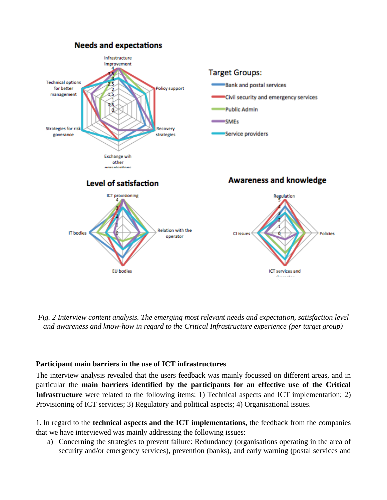

<span id="page-12-0"></span>*Fig. 2 Interview content analysis. The emerging most relevant needs and expectation, satisfaction level and awareness and know-how in regard to the Critical Infrastructure experience (per target group)*

#### **Participant main barriers in the use of ICT infrastructures**

The interview analysis revealed that the users feedback was mainly focussed on different areas, and in particular the **main barriers identified by the participants for an effective use of the Critical Infrastructure** were related to the following items: 1) Technical aspects and ICT implementation; 2) Provisioning of ICT services; 3) Regulatory and political aspects; 4) Organisational issues.

1. In regard to the **technical aspects and the ICT implementations,** the feedback from the companies that we have interviewed was mainly addressing the following issues:

a) Concerning the strategies to prevent failure: Redundancy (organisations operating in the area of security and/or emergency services), prevention (banks), and early warning (postal services and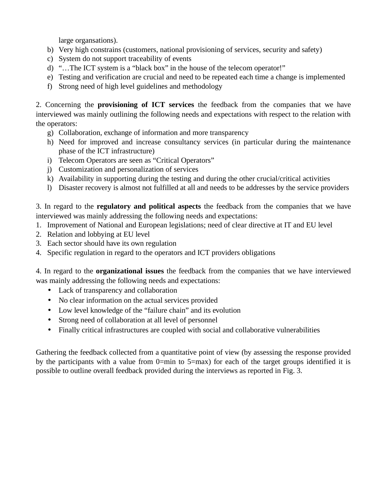large organsations).

- b) Very high constrains (customers, national provisioning of services, security and safety)
- c) System do not support traceability of events
- d) "…The ICT system is a "black box" in the house of the telecom operator!"
- e) Testing and verification are crucial and need to be repeated each time a change is implemented
- f) Strong need of high level guidelines and methodology

2. Concerning the **provisioning of ICT services** the feedback from the companies that we have interviewed was mainly outlining the following needs and expectations with respect to the relation with the operators:

- g) Collaboration, exchange of information and more transparency
- h) Need for improved and increase consultancy services (in particular during the maintenance phase of the ICT infrastructure)
- i) Telecom Operators are seen as "Critical Operators"
- j) Customization and personalization of services
- k) Availability in supporting during the testing and during the other crucial/critical activities
- l) Disaster recovery is almost not fulfilled at all and needs to be addresses by the service providers

3. In regard to the **regulatory and political aspects** the feedback from the companies that we have interviewed was mainly addressing the following needs and expectations:

- 1. Improvement of National and European legislations; need of clear directive at IT and EU level
- 2. Relation and lobbying at EU level
- 3. Each sector should have its own regulation
- 4. Specific regulation in regard to the operators and ICT providers obligations

4. In regard to the **organizational issues** the feedback from the companies that we have interviewed was mainly addressing the following needs and expectations:

- Lack of transparency and collaboration
- No clear information on the actual services provided
- Low level knowledge of the "failure chain" and its evolution
- Strong need of collaboration at all level of personnel
- Finally critical infrastructures are coupled with social and collaborative vulnerabilities

Gathering the feedback collected from a quantitative point of view (by assessing the response provided by the participants with a value from 0=min to 5=max) for each of the target groups identified it is possible to outline overall feedback provided during the interviews as reported in [Fig. 3.](#page-14-0)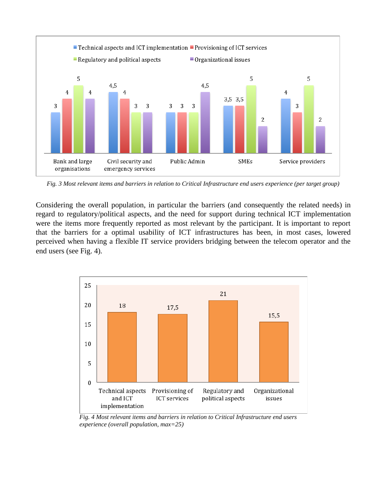

<span id="page-14-0"></span>Fig. 3 Most relevant items and barriers in relation to Critical Infrastructure end users experience (per target group)

Considering the overall population, in particular the barriers (and consequently the related needs) in regard to regulatory/political aspects, and the need for support during technical ICT implementation were the items more frequently reported as most relevant by the participant. It is important to report that the barriers for a optimal usability of ICT infrastructures has been, in most cases, lowered perceived when having a flexible IT service providers bridging between the telecom operator and the end users (see [Fig. 4\)](#page-14-1).



<span id="page-14-1"></span>*Fig. 4 Most relevant items and barriers in relation to Critical Infrastructure end users experience (overall population, max=25)*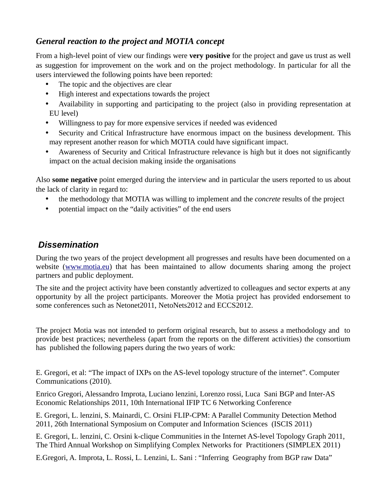## *General reaction to the project and MOTIA concept*

From a high-level point of view our findings were **very positive** for the project and gave us trust as well as suggestion for improvement on the work and on the project methodology. In particular for all the users interviewed the following points have been reported:

- The topic and the objectives are clear
- High interest and expectations towards the project
- Availability in supporting and participating to the project (also in providing representation at EU level)
- Willingness to pay for more expensive services if needed was evidenced
- Security and Critical Infrastructure have enormous impact on the business development. This may represent another reason for which MOTIA could have significant impact.
- Awareness of Security and Critical Infrastructure relevance is high but it does not significantly impact on the actual decision making inside the organisations

Also **some negative** point emerged during the interview and in particular the users reported to us about the lack of clarity in regard to:

- the methodology that MOTIA was willing to implement and the *concrete* results of the project
- potential impact on the "daily activities" of the end users

# *Dissemination*

During the two years of the project development all progresses and results have been documented on a website [\(www.motia.eu\)](http://www.motia.eu/) that has been maintained to allow documents sharing among the project partners and public deployment.

The site and the project activity have been constantly advertized to colleagues and sector experts at any opportunity by all the project participants. Moreover the Motia project has provided endorsement to some conferences such as Netonet2011, NetoNets2012 and ECCS2012.

The project Motia was not intended to perform original research, but to assess a methodology and to provide best practices; nevertheless (apart from the reports on the different activities) the consortium has published the following papers during the two years of work:

E. Gregori, et al: "The impact of IXPs on the AS-level topology structure of the internet". Computer Communications (2010).

Enrico Gregori, Alessandro Improta, Luciano lenzini, Lorenzo rossi, Luca Sani BGP and Inter-AS Economic Relationships 2011, 10th International IFIP TC 6 Networking Conference

E. Gregori, L. lenzini, S. Mainardi, C. Orsini FLIP-CPM: A Parallel Community Detection Method 2011, 26th International Symposium on Computer and Information Sciences (ISCIS 2011)

E. Gregori, L. lenzini, C. Orsini k-clique Communities in the Internet AS-level Topology Graph 2011, The Third Annual Workshop on Simplifying Complex Networks for Practitioners (SIMPLEX 2011)

E.Gregori, A. Improta, L. Rossi, L. Lenzini, L. Sani : "Inferring Geography from BGP raw Data"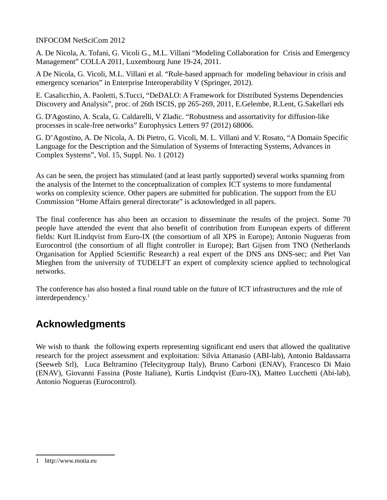#### INFOCOM NetSciCom 2012

A. De Nicola, A. Tofani, G. Vicoli G., M.L. Villani "Modeling Collaboration for Crisis and Emergency Management" COLLA 2011, Luxembourg June 19-24, 2011.

A De Nicola, G. Vicoli, M.L. Villani et al. "Rule-based approach for modeling behaviour in crisis and emergency scenarios" in Enterprise Interoperability V (Springer, 2012).

E. Casalicchio, A. Paoletti, S.Tucci, "DeDALO: A Framework for Distributed Systems Dependencies Discovery and Analysis", proc. of 26th ISCIS, pp 265-269, 2011, E.Gelembe, R.Lent, G.Sakellari eds

G. D'Agostino, A. Scala, G. Caldarelli, V Zladic. "Robustness and assortativity for diffusion-like processes in scale-free networks" Europhysics Letters 97 (2012) 68006.

G. D'Agostino, A. De Nicola, A. Di Pietro, G. Vicoli, M. L. Villani and V. Rosato, "A Domain Specific Language for the Description and the Simulation of Systems of Interacting Systems, Advances in Complex Systems", Vol. 15, Suppl. No. 1 (2012)

As can be seen, the project has stimulated (and at least partly supported) several works spanning from the analysis of the Internet to the conceptualization of complex ICT systems to more fundamental works on complexity science. Other papers are submitted for publication. The support from the EU Commission "Home Affairs general directorate" is acknowledged in all papers.

The final conference has also been an occasion to disseminate the results of the project. Some 70 people have attended the event that also benefit of contribution from European experts of different fields: Kurt lLindqvist from Euro-IX (the consortium of all XPS in Europe); Antonio Nugueras from Eurocontrol (the consortium of all flight controller in Europe); Bart Gijsen from TNO (Netherlands Organisation for Applied Scientific Research) a real expert of the DNS ans DNS-sec; and Piet Van Mieghen from the university of TUDELFT an expert of complexity science applied to technological networks.

The conference has also hosted a final round table on the future of ICT infrastructures and the role of interdependency.<sup>[1](#page-16-0)</sup>

# **Acknowledgments**

We wish to thank the following experts representing significant end users that allowed the qualitative research for the project assessment and exploitation: Silvia Attanasio (ABI-lab), Antonio Baldassarra (Seeweb Srl), Luca Beltramino (Telecitygroup Italy), Bruno Carboni (ENAV), Francesco Di Maio (ENAV), Giovanni Fassina (Poste Italiane), Kurtis Lindqvist (Euro-IX), Matteo Lucchetti (Abi-lab), Antonio Nogueras (Eurocontrol).

<span id="page-16-0"></span><sup>1</sup> http://www.motia.eu